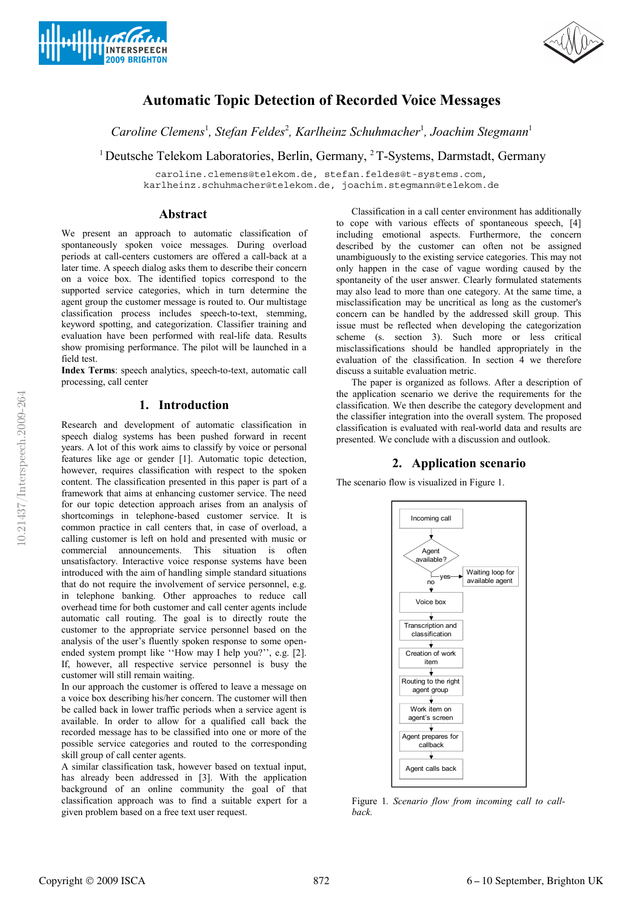



# **Automatic Topic Detection of Recorded Voice Messages**

Caroline Clemens<sup>1</sup>, Stefan Feldes<sup>2</sup>, Karlheinz Schuhmacher<sup>1</sup>, Joachim Stegmann<sup>1</sup>

<sup>1</sup> Deutsche Telekom Laboratories, Berlin, Germany, <sup>2</sup> T-Systems, Darmstadt, Germany

caroline.clemens@telekom.de, stefan.feldes@t-systems.com, karlheinz.schuhmacher@telekom.de, joachim.stegmann@telekom.de

### **Abstract**

We present an approach to automatic classification of spontaneously spoken voice messages. During overload periods at call-centers customers are offered a call-back at a later time. A speech dialog asks them to describe their concern on a voice box. The identified topics correspond to the supported service categories, which in turn determine the agent group the customer message is routed to. Our multistage classification process includes speech-to-text, stemming, keyword spotting, and categorization. Classifier training and evaluation have been performed with real-life data. Results show promising performance. The pilot will be launched in a field test.

**Index Terms**: speech analytics, speech-to-text, automatic call processing, call center

### **1. Introduction**

Research and development of automatic classification in speech dialog systems has been pushed forward in recent years. A lot of this work aims to classify by voice or personal features like age or gender [1]. Automatic topic detection, however, requires classification with respect to the spoken content. The classification presented in this paper is part of a framework that aims at enhancing customer service. The need for our topic detection approach arises from an analysis of shortcomings in telephone-based customer service. It is common practice in call centers that, in case of overload, a calling customer is left on hold and presented with music or commercial announcements. This situation is often unsatisfactory. Interactive voice response systems have been introduced with the aim of handling simple standard situations that do not require the involvement of service personnel, e.g. in telephone banking. Other approaches to reduce call overhead time for both customer and call center agents include automatic call routing. The goal is to directly route the customer to the appropriate service personnel based on the analysis of the user's fluently spoken response to some openended system prompt like ''How may I help you?'', e.g. [2]. If, however, all respective service personnel is busy the customer will still remain waiting.

In our approach the customer is offered to leave a message on a voice box describing his/her concern. The customer will then be called back in lower traffic periods when a service agent is available. In order to allow for a qualified call back the recorded message has to be classified into one or more of the possible service categories and routed to the corresponding skill group of call center agents.

A similar classification task, however based on textual input, has already been addressed in [3]. With the application background of an online community the goal of that classification approach was to find a suitable expert for a given problem based on a free text user request.

Classification in a call center environment has additionally to cope with various effects of spontaneous speech, [4] including emotional aspects. Furthermore, the concern described by the customer can often not be assigned unambiguously to the existing service categories. This may not only happen in the case of vague wording caused by the spontaneity of the user answer. Clearly formulated statements may also lead to more than one category. At the same time, a misclassification may be uncritical as long as the customer's concern can be handled by the addressed skill group. This issue must be reflected when developing the categorization scheme (s. section 3). Such more or less critical misclassifications should be handled appropriately in the evaluation of the classification. In section 4 we therefore discuss a suitable evaluation metric.

The paper is organized as follows. After a description of the application scenario we derive the requirements for the classification. We then describe the category development and the classifier integration into the overall system. The proposed classification is evaluated with real-world data and results are presented. We conclude with a discussion and outlook.

### **2. Application scenario**

The scenario flow is visualized in Figure 1.



Figure 1*. Scenario flow from incoming call to callback.*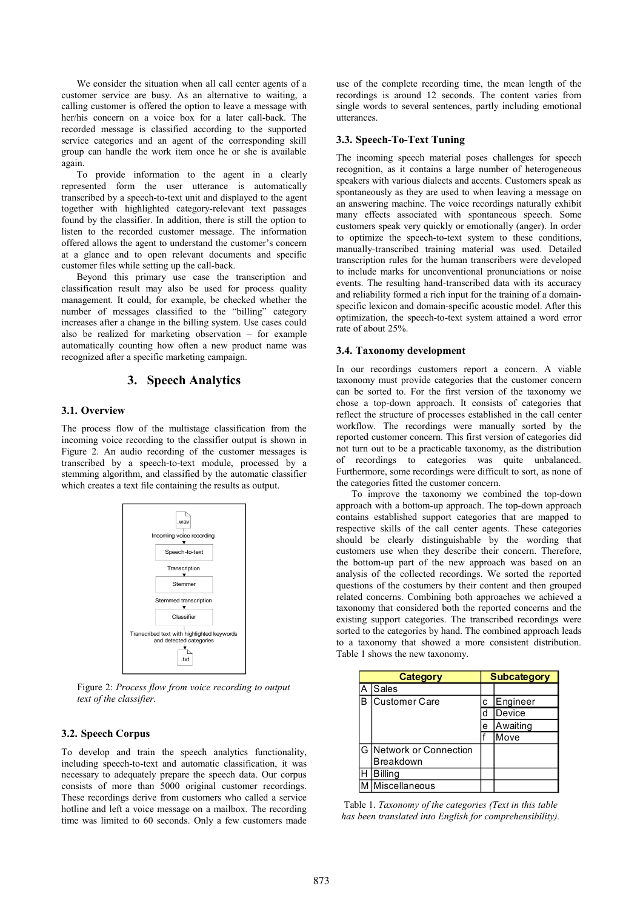We consider the situation when all call center agents of a customer service are busy. As an alternative to waiting, a calling customer is offered the option to leave a message with her/his concern on a voice box for a later call-back. The recorded message is classified according to the supported service categories and an agent of the corresponding skill group can handle the work item once he or she is available again.

To provide information to the agent in a clearly represented form the user utterance is automatically transcribed by a speech-to-text unit and displayed to the agent together with highlighted category-relevant text passages found by the classifier. In addition, there is still the option to listen to the recorded customer message. The information offered allows the agent to understand the customer's concern at a glance and to open relevant documents and specific customer files while setting up the call-back.

Beyond this primary use case the transcription and classification result may also be used for process quality management. It could, for example, be checked whether the number of messages classified to the "billing" category increases after a change in the billing system. Use cases could also be realized for marketing observation – for example automatically counting how often a new product name was recognized after a specific marketing campaign.

### **3. Speech Analytics**

#### **3.1. Overview**

The process flow of the multistage classification from the incoming voice recording to the classifier output is shown in Figure 2. An audio recording of the customer messages is transcribed by a speech-to-text module, processed by a stemming algorithm, and classified by the automatic classifier which creates a text file containing the results as output.



Figure 2: *Process flow from voice recording to output text of the classifier.*

#### **3.2. Speech Corpus**

To develop and train the speech analytics functionality, including speech-to-text and automatic classification, it was necessary to adequately prepare the speech data. Our corpus consists of more than 5000 original customer recordings. These recordings derive from customers who called a service hotline and left a voice message on a mailbox. The recording time was limited to 60 seconds. Only a few customers made use of the complete recording time, the mean length of the recordings is around 12 seconds. The content varies from single words to several sentences, partly including emotional utterances.

#### **3.3. Speech-To-Text Tuning**

The incoming speech material poses challenges for speech recognition, as it contains a large number of heterogeneous speakers with various dialects and accents. Customers speak as spontaneously as they are used to when leaving a message on an answering machine. The voice recordings naturally exhibit many effects associated with spontaneous speech. Some customers speak very quickly or emotionally (anger). In order to optimize the speech-to-text system to these conditions, manually-transcribed training material was used. Detailed transcription rules for the human transcribers were developed to include marks for unconventional pronunciations or noise events. The resulting hand-transcribed data with its accuracy and reliability formed a rich input for the training of a domainspecific lexicon and domain-specific acoustic model. After this optimization, the speech-to-text system attained a word error rate of about 25%.

#### **3.4. Taxonomy development**

In our recordings customers report a concern. A viable taxonomy must provide categories that the customer concern can be sorted to. For the first version of the taxonomy we chose a top-down approach. It consists of categories that reflect the structure of processes established in the call center workflow. The recordings were manually sorted by the reported customer concern. This first version of categories did not turn out to be a practicable taxonomy, as the distribution of recordings to categories was quite unbalanced. Furthermore, some recordings were difficult to sort, as none of the categories fitted the customer concern.

To improve the taxonomy we combined the top-down approach with a bottom-up approach. The top-down approach contains established support categories that are mapped to respective skills of the call center agents. These categories should be clearly distinguishable by the wording that customers use when they describe their concern. Therefore, the bottom-up part of the new approach was based on an analysis of the collected recordings. We sorted the reported questions of the costumers by their content and then grouped related concerns. Combining both approaches we achieved a taxonomy that considered both the reported concerns and the existing support categories. The transcribed recordings were sorted to the categories by hand. The combined approach leads to a taxonomy that showed a more consistent distribution. Table 1 shows the new taxonomy.

| <b>Category</b> |                       |   | <b>Subcategory</b> |  |  |
|-----------------|-----------------------|---|--------------------|--|--|
|                 | <b>Sales</b>          |   |                    |  |  |
|                 | <b>Customer Care</b>  | C | Engineer           |  |  |
|                 |                       |   | Device             |  |  |
|                 |                       | е | Awaiting           |  |  |
|                 |                       |   | Move               |  |  |
| G.              | Network or Connection |   |                    |  |  |
|                 | Breakdown             |   |                    |  |  |
|                 | <b>Billing</b>        |   |                    |  |  |
|                 | Miscellaneous         |   |                    |  |  |

Table 1. *Taxonomy of the categories (Text in this table has been translated into English for comprehensibility).*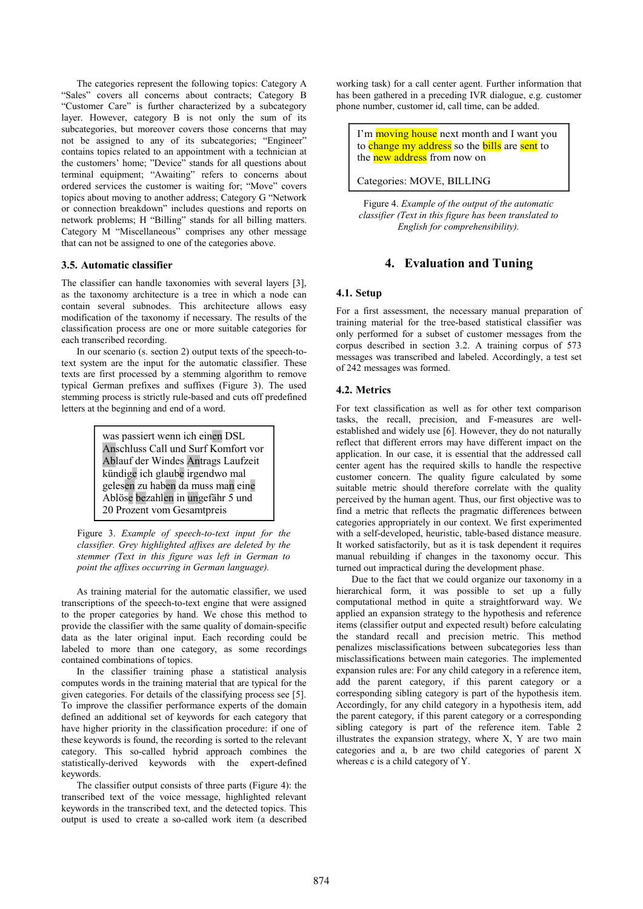The categories represent the following topics: Category A "Sales" covers all concerns about contracts; Category B "Customer Care" is further characterized by a subcategory layer. However, category B is not only the sum of its subcategories, but moreover covers those concerns that may not be assigned to any of its subcategories; "Engineer" contains topics related to an appointment with a technician at the customers' home; "Device" stands for all questions about terminal equipment; "Awaiting" refers to concerns about ordered services the customer is waiting for; "Move" covers topics about moving to another address; Category G "Network or connection breakdown" includes questions and reports on network problems; H "Billing" stands for all billing matters. Category M "Miscellaneous" comprises any other message that can not be assigned to one of the categories above.

#### **3.5. Automatic classifier**

The classifier can handle taxonomies with several layers [3], as the taxonomy architecture is a tree in which a node can contain several subnodes. This architecture allows easy modification of the taxonomy if necessary. The results of the classification process are one or more suitable categories for each transcribed recording.

In our scenario (s. section 2) output texts of the speech-totext system are the input for the automatic classifier. These texts are first processed by a stemming algorithm to remove typical German prefixes and suffixes (Figure 3). The used stemming process is strictly rule-based and cuts off predefined letters at the beginning and end of a word.

> was passiert wenn ich einen DSL Anschluss Call und Surf Komfort vor Ablauf der Windes Antrags Laufzeit kündige ich glaube irgendwo mal gelesen zu haben da muss man eine Ablöse bezahlen in ungefähr 5 und 20 Prozent vom Gesamtpreis

Figure 3. *Example of speech-to-text input for the classifier. Grey highlighted affixes are deleted by the stemmer (Text in this figure was left in German to point the affixes occurring in German language).*

As training material for the automatic classifier, we used transcriptions of the speech-to-text engine that were assigned to the proper categories by hand. We chose this method to provide the classifier with the same quality of domain-specific data as the later original input. Each recording could be labeled to more than one category, as some recordings contained combinations of topics.

In the classifier training phase a statistical analysis computes words in the training material that are typical for the given categories. For details of the classifying process see [5]. To improve the classifier performance experts of the domain defined an additional set of keywords for each category that have higher priority in the classification procedure: if one of these keywords is found, the recording is sorted to the relevant category. This so-called hybrid approach combines the statistically-derived keywords with the expert-defined keywords.

The classifier output consists of three parts (Figure 4): the transcribed text of the voice message, highlighted relevant keywords in the transcribed text, and the detected topics. This output is used to create a so-called work item (a described working task) for a call center agent. Further information that has been gathered in a preceding IVR dialogue, e.g. customer phone number, customer id, call time, can be added.

I'm **moving house** next month and I want you to change my address so the bills are sent to the **new address** from now on

Categories: MOVE, BILLING

Figure 4. *Example of the output of the automatic classifier (Text in this figure has been translated to English for comprehensibility).*

### **4. Evaluation and Tuning**

#### **4.1. Setup**

For a first assessment, the necessary manual preparation of training material for the tree-based statistical classifier was only performed for a subset of customer messages from the corpus described in section 3.2. A training corpus of 573 messages was transcribed and labeled. Accordingly, a test set of 242 messages was formed.

#### **4.2. Metrics**

For text classification as well as for other text comparison tasks, the recall, precision, and F-measures are wellestablished and widely use [6]. However, they do not naturally reflect that different errors may have different impact on the application. In our case, it is essential that the addressed call center agent has the required skills to handle the respective customer concern. The quality figure calculated by some suitable metric should therefore correlate with the quality perceived by the human agent. Thus, our first objective was to find a metric that reflects the pragmatic differences between categories appropriately in our context. We first experimented with a self-developed, heuristic, table-based distance measure. It worked satisfactorily, but as it is task dependent it requires manual rebuilding if changes in the taxonomy occur. This turned out impractical during the development phase.

Due to the fact that we could organize our taxonomy in a hierarchical form, it was possible to set up a fully computational method in quite a straightforward way. We applied an expansion strategy to the hypothesis and reference items (classifier output and expected result) before calculating the standard recall and precision metric. This method penalizes misclassifications between subcategories less than misclassifications between main categories. The implemented expansion rules are: For any child category in a reference item, add the parent category, if this parent category or a corresponding sibling category is part of the hypothesis item. Accordingly, for any child category in a hypothesis item, add the parent category, if this parent category or a corresponding sibling category is part of the reference item. Table 2 illustrates the expansion strategy, where X, Y are two main categories and a, b are two child categories of parent X whereas c is a child category of Y.